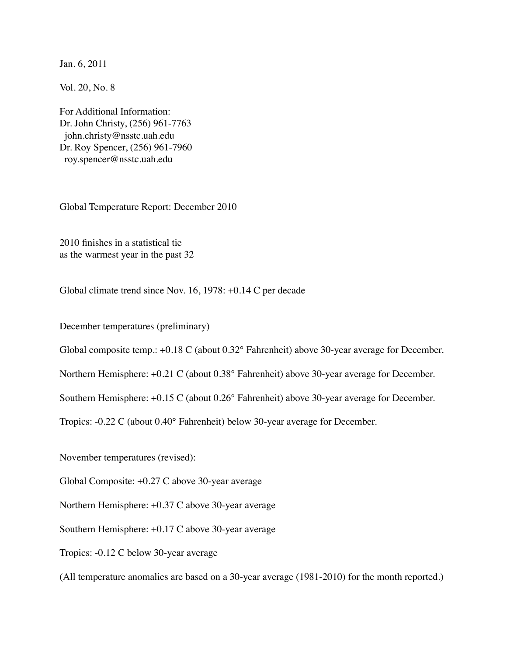Jan. 6, 2011

Vol. 20, No. 8

For Additional Information: Dr. John Christy, (256) 961-7763 john.christy@nsstc.uah.edu Dr. Roy Spencer, (256) 961-7960 roy.spencer@nsstc.uah.edu

Global Temperature Report: December 2010

2010 finishes in a statistical tie as the warmest year in the past 32

Global climate trend since Nov. 16, 1978: +0.14 C per decade

December temperatures (preliminary)

Global composite temp.: +0.18 C (about 0.32° Fahrenheit) above 30-year average for December.

Northern Hemisphere: +0.21 C (about 0.38° Fahrenheit) above 30-year average for December.

Southern Hemisphere: +0.15 C (about 0.26° Fahrenheit) above 30-year average for December.

Tropics: -0.22 C (about 0.40° Fahrenheit) below 30-year average for December.

November temperatures (revised):

Global Composite: +0.27 C above 30-year average

Northern Hemisphere: +0.37 C above 30-year average

Southern Hemisphere: +0.17 C above 30-year average

Tropics: -0.12 C below 30-year average

(All temperature anomalies are based on a 30-year average (1981-2010) for the month reported.)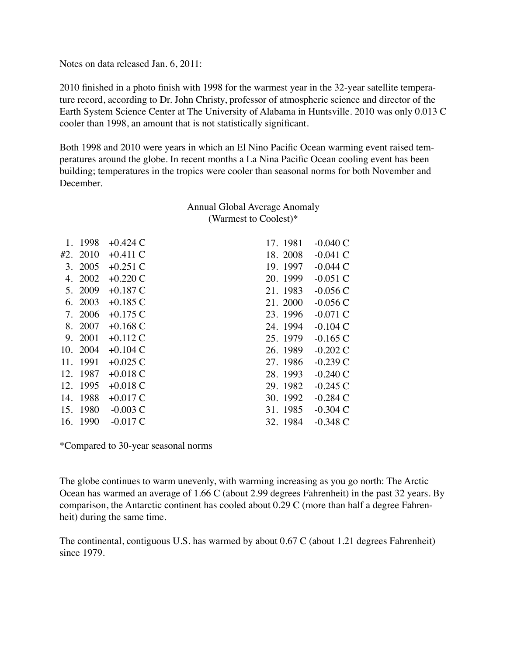## Notes on data released Jan. 6, 2011:

2010 finished in a photo finish with 1998 for the warmest year in the 32-year satellite temperature record, according to Dr. John Christy, professor of atmospheric science and director of the Earth System Science Center at The University of Alabama in Huntsville. 2010 was only 0.013 C cooler than 1998, an amount that is not statistically significant.

Both 1998 and 2010 were years in which an El Nino Pacific Ocean warming event raised temperatures around the globe. In recent months a La Nina Pacific Ocean cooling event has been building; temperatures in the tropics were cooler than seasonal norms for both November and December.

## Annual Global Average Anomaly (Warmest to Coolest)\*

|     | 1. 1998  | $+0.424$ C | 17. 1981 | $-0.040C$  |
|-----|----------|------------|----------|------------|
|     | #2. 2010 | $+0.411$ C | 18.2008  | $-0.041$ C |
|     | 3. 2005  | $+0.251$ C | 19. 1997 | $-0.044$ C |
|     | 4. 2002  | $+0.220C$  | 20. 1999 | $-0.051C$  |
|     | 5. 2009  | $+0.187C$  | 21. 1983 | $-0.056C$  |
|     | 6. 2003  | $+0.185C$  | 21. 2000 | $-0.056C$  |
|     | 7. 2006  | $+0.175C$  | 23. 1996 | $-0.071$ C |
|     | 8. 2007  | $+0.168$ C | 24. 1994 | $-0.104$ C |
|     | 9. 2001  | $+0.112C$  | 25. 1979 | $-0.165$ C |
|     | 10. 2004 | $+0.104$ C | 26. 1989 | $-0.202$ C |
| 11. | 1991     | $+0.025C$  | 27.1986  | $-0.239C$  |
|     | 12. 1987 | $+0.018$ C | 28. 1993 | $-0.240$ C |
|     | 12. 1995 | $+0.018$ C | 29. 1982 | $-0.245$ C |
| 14. | 1988     | $+0.017C$  | 30. 1992 | $-0.284$ C |
|     | 15. 1980 | $-0.003$ C | 31.1985  | $-0.304$ C |
|     | 16. 1990 | $-0.017C$  | 32. 1984 | $-0.348C$  |

\*Compared to 30-year seasonal norms

The globe continues to warm unevenly, with warming increasing as you go north: The Arctic Ocean has warmed an average of 1.66 C (about 2.99 degrees Fahrenheit) in the past 32 years. By comparison, the Antarctic continent has cooled about 0.29 C (more than half a degree Fahrenheit) during the same time.

The continental, contiguous U.S. has warmed by about 0.67 C (about 1.21 degrees Fahrenheit) since 1979.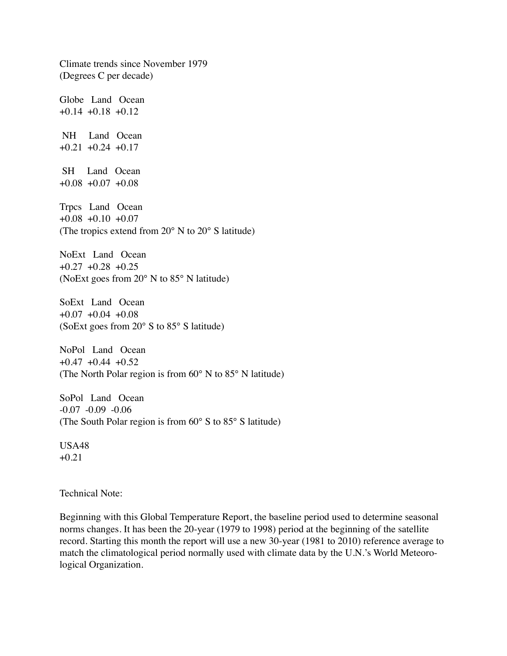Climate trends since November 1979 (Degrees C per decade) Globe Land Ocean  $+0.14 +0.18 +0.12$  NH Land Ocean  $+0.21$   $+0.24$   $+0.17$  SH Land Ocean +0.08 +0.07 +0.08 Trpcs Land Ocean +0.08 +0.10 +0.07 (The tropics extend from 20° N to 20° S latitude) NoExt Land Ocean  $+0.27$   $+0.28$   $+0.25$ (NoExt goes from 20° N to 85° N latitude) SoExt Land Ocean +0.07 +0.04 +0.08 (SoExt goes from 20° S to 85° S latitude) NoPol Land Ocean  $+0.47$   $+0.44$   $+0.52$ (The North Polar region is from 60° N to 85° N latitude) SoPol Land Ocean -0.07 -0.09 -0.06 (The South Polar region is from 60° S to 85° S latitude) USA48 +0.21 Technical Note:

Beginning with this Global Temperature Report, the baseline period used to determine seasonal norms changes. It has been the 20-year (1979 to 1998) period at the beginning of the satellite record. Starting this month the report will use a new 30-year (1981 to 2010) reference average to match the climatological period normally used with climate data by the U.N.'s World Meteorological Organization.